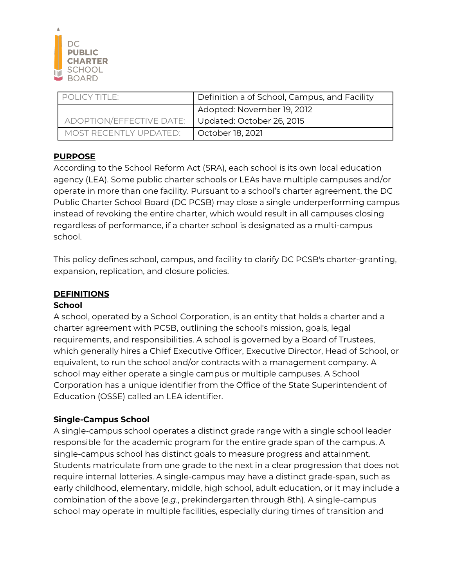

| POLICY TITLE:            | Definition a of School, Campus, and Facility |
|--------------------------|----------------------------------------------|
|                          | Adopted: November 19, 2012                   |
| ADOPTION/EFFECTIVE DATE: | Updated: October 26, 2015                    |
| MOST RECENTI Y UPDATED:  | October 18, 2021                             |

### **PURPOSE**

According to the School Reform Act (SRA), each school is its own local education agency (LEA). Some public charter schools or LEAs have multiple campuses and/or operate in more than one facility. Pursuant to a school's charter agreement, the DC Public Charter School Board (DC PCSB) may close a single underperforming campus instead of revoking the entire charter, which would result in all campuses closing regardless of performance, if a charter school is designated as a multi-campus school.

This policy defines school, campus, and facility to clarify DC PCSB's charter-granting, expansion, replication, and closure policies.

### **DEFINITIONS**

#### **School**

A school, operated by a School Corporation, is an entity that holds a charter and a charter agreement with PCSB, outlining the school's mission, goals, legal requirements, and responsibilities. A school is governed by a Board of Trustees, which generally hires a Chief Executive Officer, Executive Director, Head of School, or equivalent, to run the school and/or contracts with a management company. A school may either operate a single campus or multiple campuses. A School Corporation has a unique identifier from the Office of the State Superintendent of Education (OSSE) called an LEA identifier.

### **Single-Campus School**

A single-campus school operates a distinct grade range with a single school leader responsible for the academic program for the entire grade span of the campus. A single-campus school has distinct goals to measure progress and attainment. Students matriculate from one grade to the next in a clear progression that does not require internal lotteries. A single-campus may have a distinct grade-span, such as early childhood, elementary, middle, high school, adult education, or it may include a combination of the above (*e*.*g*., prekindergarten through 8th). A single-campus school may operate in multiple facilities, especially during times of transition and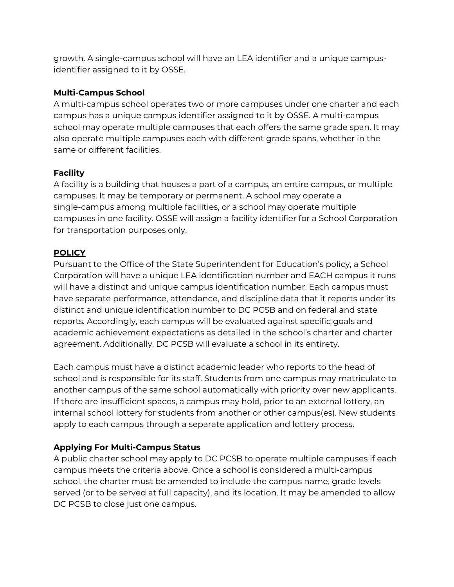growth. A single-campus school will have an LEA identifier and a unique campusidentifier assigned to it by OSSE.

## **Multi-Campus School**

A multi-campus school operates two or more campuses under one charter and each campus has a unique campus identifier assigned to it by OSSE. A multi-campus school may operate multiple campuses that each offers the same grade span. It may also operate multiple campuses each with different grade spans, whether in the same or different facilities.

## **Facility**

A facility is a building that houses a part of a campus, an entire campus, or multiple campuses. It may be temporary or permanent. A school may operate a single-campus among multiple facilities, or a school may operate multiple campuses in one facility. OSSE will assign a facility identifier for a School Corporation for transportation purposes only.

## **POLICY**

Pursuant to the Office of the State Superintendent for Education's policy, a School Corporation will have a unique LEA identification number and EACH campus it runs will have a distinct and unique campus identification number. Each campus must have separate performance, attendance, and discipline data that it reports under its distinct and unique identification number to DC PCSB and on federal and state reports. Accordingly, each campus will be evaluated against specific goals and academic achievement expectations as detailed in the school's charter and charter agreement. Additionally, DC PCSB will evaluate a school in its entirety.

Each campus must have a distinct academic leader who reports to the head of school and is responsible for its staff. Students from one campus may matriculate to another campus of the same school automatically with priority over new applicants. If there are insufficient spaces, a campus may hold, prior to an external lottery, an internal school lottery for students from another or other campus(es). New students apply to each campus through a separate application and lottery process.

# **Applying For Multi-Campus Status**

A public charter school may apply to DC PCSB to operate multiple campuses if each campus meets the criteria above. Once a school is considered a multi-campus school, the charter must be amended to include the campus name, grade levels served (or to be served at full capacity), and its location. It may be amended to allow DC PCSB to close just one campus.